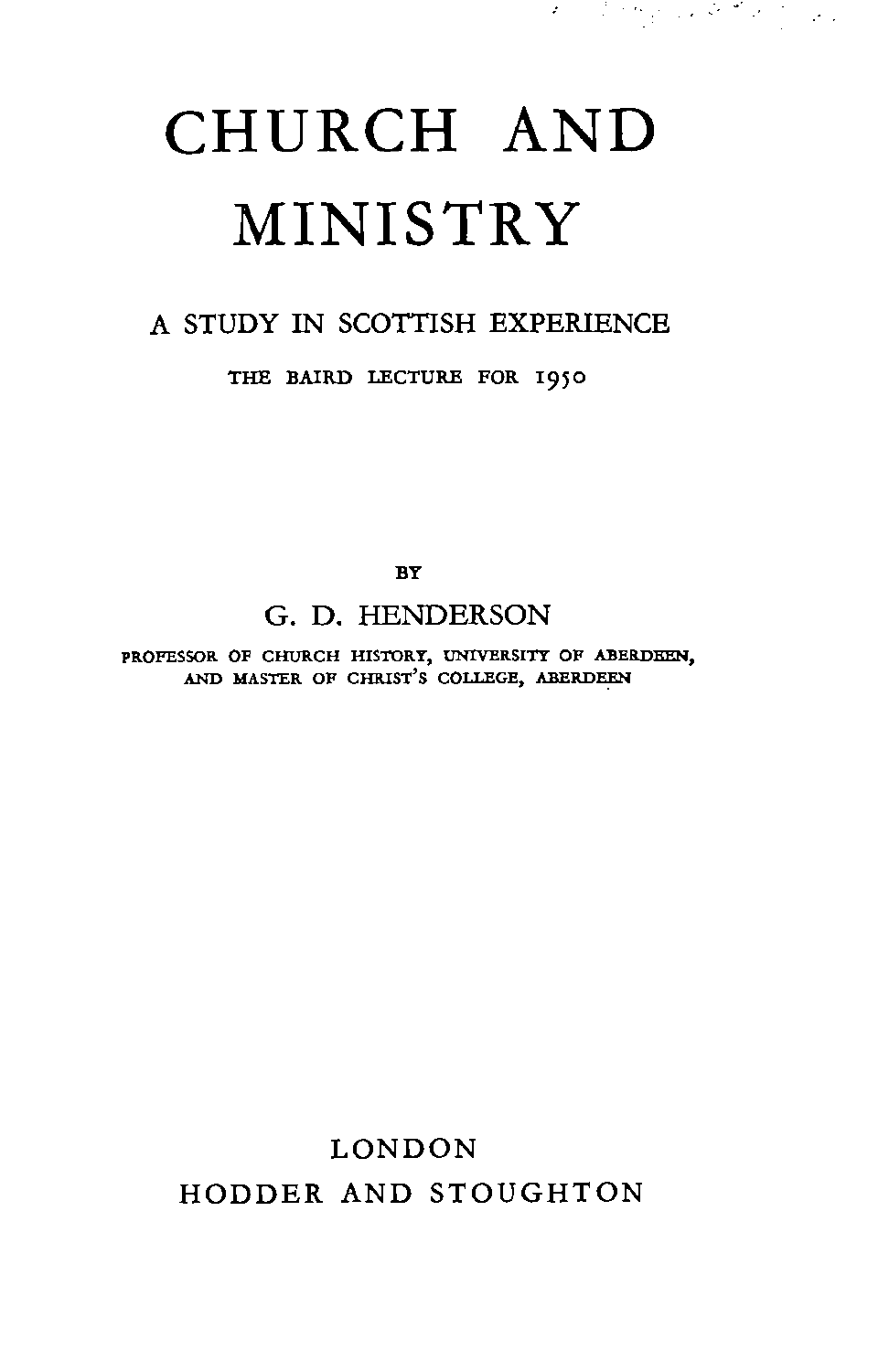# CHURCH AND MINISTRY

オープンサイン みざえ たしょ

### **A** STUDY IN SCOTTISH EXPERIENCE

#### **THE BAIRD LECTURE FOR 1950**

 $BY$ 

#### **G.** D. HENDERSON

**PROFESSOR OF CHURCH HISTORY, UNIVERSITY OF ABERDEEN, AND MASTER OF CHRIST'S COLLEGE,** 

## LONDON HODDER AND STOUGHTON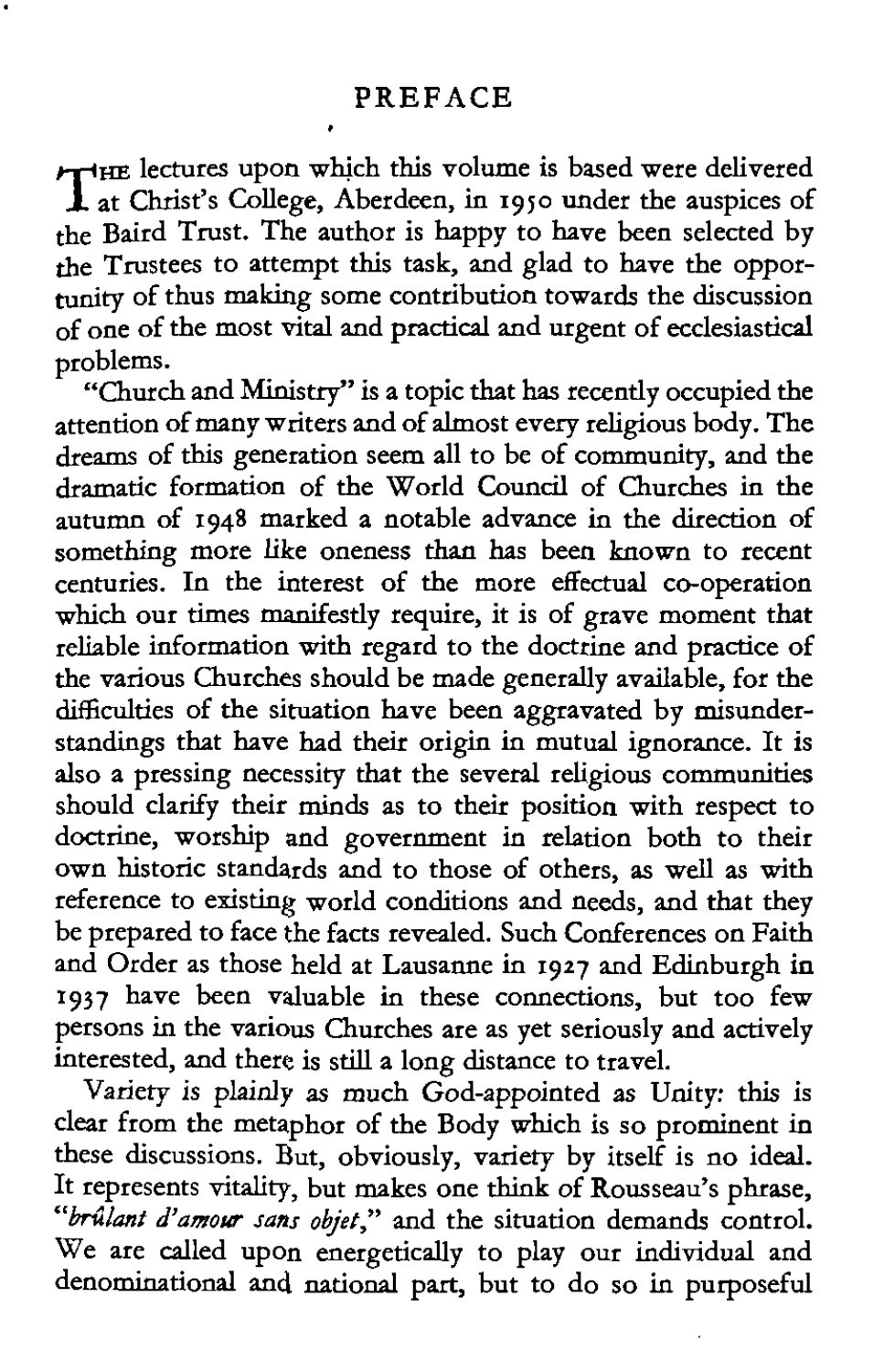HE lectures upon which this volume is based were delivered T at Chnst's . College, Aberdeen, in 1950 under the auspices of the Baird Trust. The author is happy to have been selected by the Trustees to attempt this task, and glad to have the opportunity of thus making some contribution towards the discussion of one of the most **vital** and practical and urgent of ecclesiastical problems.

"Church and Ministry" is a topic that **has** recently occupied the attention of many writers and of almost every religious body. The dreams of this generation seem all to be of community, and the dramatic formation of the World Council of Churches in the autumn of 1948 marked a notable advance in the direction of something more like oneness **than** has been known to recent centuries. In the interest of the more effectual co-operation which our times manifestly require, it is of grave moment that reliable information with regard to the doctrine and practice of the various Churches should be made generally available, for the difficulties of the situation have been aggravated by misunderstandings that have had their origin in mutual ignorance. It is also a pressing necessity that the several religious communities should clarify their minds **as** to their position with respect to doctrine, worship and government in relation both to their own historic standards and to those of others, **as** well as with reference to existing world conditions and needs, and that they be prepared to face the facts revealed. Such Conferences on Faith and Order as those held at Lausanne in 1927 and Edinburgh **in**  1937 have been valuable in these connections, but too few persons in the various Churches are as yet seriously and actively interested, and there is still a long distance to travel.

Variety is plainly **as** much God-appointed as Unity: this is clear from the metaphor of the Body which is so prominent in these discussions. But, obviously, variety by itself is no ideal. It represents vitality, but makes one think of Rousseau's phrase, *"hvlanf d'amow* sans **objet,"** and the situation demands control. We are called upon energetically to play our individual and denominational and national part, but to do so in purposeful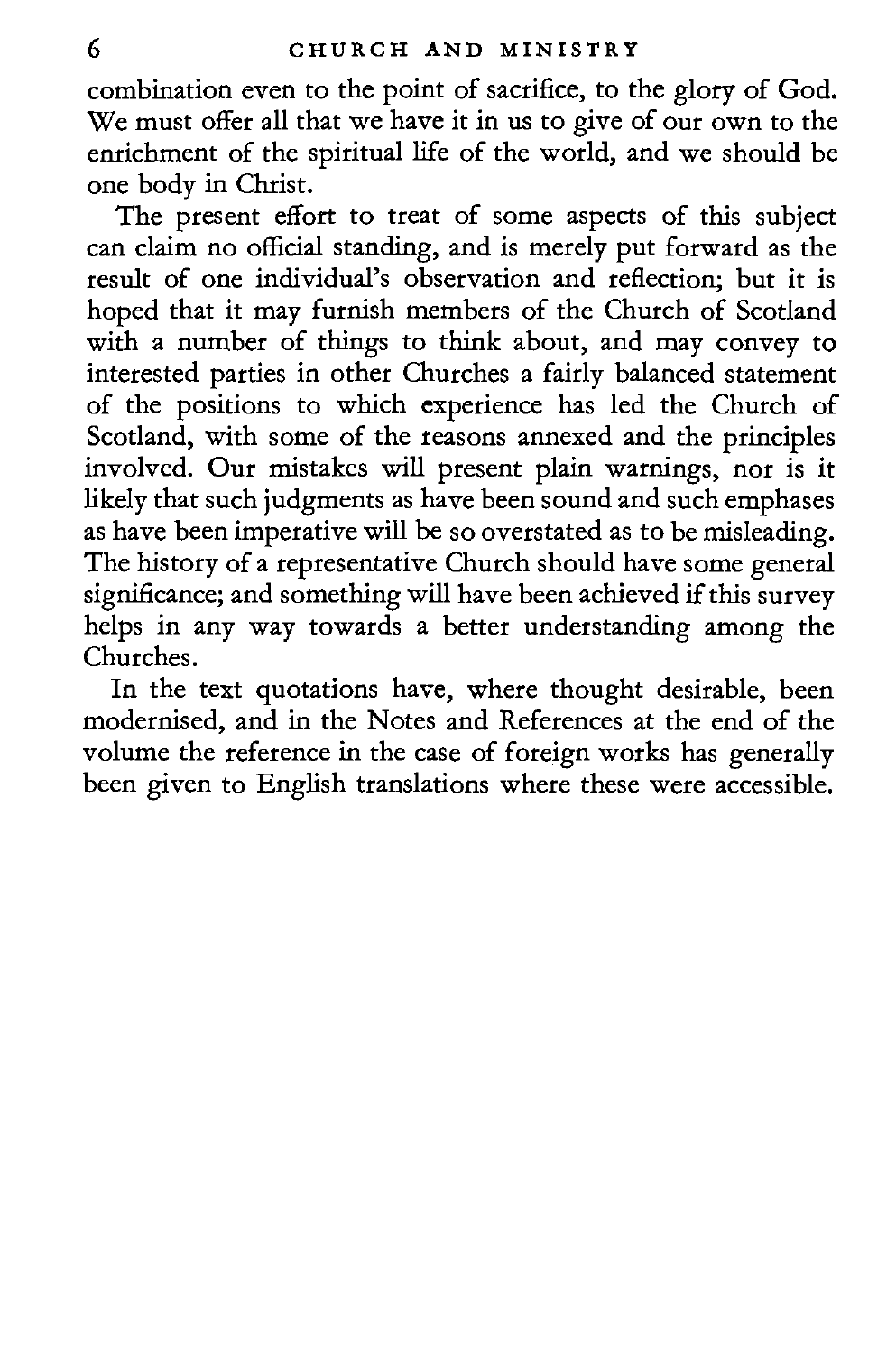combination even to the point of sacrifice, to the glory of God. We must offer all that we have it in us to give of our own to the enrichment of the spiritual life of the world, and we should be one body in Christ.

The present effort to treat of some aspects of this subject can claim no official standing, and is merely put forward as the result of one individual's observation and reflection; but it is hoped that it may furnish members of the Church of Scotland with a number of things to think about, and may convey to interested parties in other Churches a fairly balanced statement of the positions to which experience has led the Church of Scotland, with some of the reasons annexed and the principles involved. Our mistakes will present plain warnings, nor is it likely that such judgments as have been sound and such emphases as have been imperative will be so overstated as to be misleading. The history of a representative Church should have some general significance; and something will have been achieved if this survey helps in any way towards a better understanding among the Churches.

In the text quotations have, where thought desirable, been modernised, and in the Notes and References at the end of the volume the reference in the case of foreign works has generally been given to English translations where these were accessible.